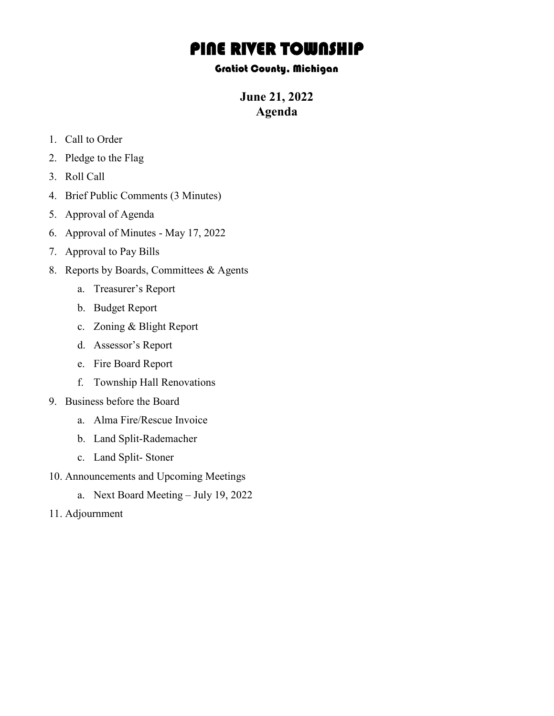## **PINE RIVER TOWNSHIP**<br>Gratiot County, Michigan

**June 21, 2022 Agenda**

- 1. Call to Order
- 2. Pledge to the Flag
- 3. Roll Call
- 4. Brief Public Comments (3 Minutes)
- 5. Approval of Agenda
- 6. Approval of Minutes May 17, 2022
- 7. Approval to Pay Bills
- 8. Reports by Boards, Committees & Agents
	- a. Treasurer's Report
	- b. Budget Report
	- c. Zoning & Blight Report
	- d. Assessor's Report
	- e. Fire Board Report
	- f. Township Hall Renovations
- 9. Business before the Board
	- a. Alma Fire/Rescue Invoice
	- b. Land Split-Rademacher
	- c. Land Split- Stoner
- 10. Announcements and Upcoming Meetings
	- a. Next Board Meeting July 19, 2022
- 11. Adjournment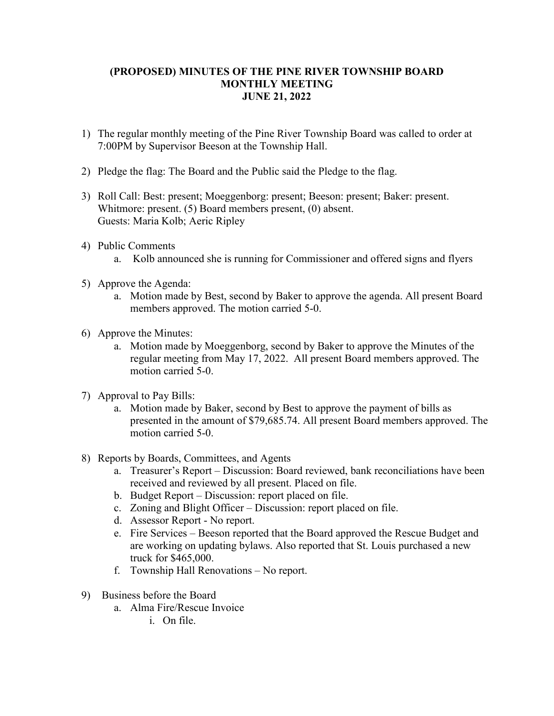## **(PROPOSED) MINUTES OF THE PINE RIVER TOWNSHIP BOARD MONTHLY MEETING JUNE 21, 2022**

- 1) The regular monthly meeting of the Pine River Township Board was called to order at 7:00PM by Supervisor Beeson at the Township Hall.
- 2) Pledge the flag: The Board and the Public said the Pledge to the flag.
- 3) Roll Call: Best: present; Moeggenborg: present; Beeson: present; Baker: present. Whitmore: present. (5) Board members present, (0) absent. Guests: Maria Kolb; Aeric Ripley
- 4) Public Comments
	- a. Kolb announced she is running for Commissioner and offered signs and flyers
- 5) Approve the Agenda:
	- a. Motion made by Best, second by Baker to approve the agenda. All present Board members approved. The motion carried 5-0.
- 6) Approve the Minutes:
	- a. Motion made by Moeggenborg, second by Baker to approve the Minutes of the regular meeting from May 17, 2022. All present Board members approved. The motion carried 5-0.
- 7) Approval to Pay Bills:
	- a. Motion made by Baker, second by Best to approve the payment of bills as presented in the amount of \$79,685.74. All present Board members approved. The motion carried 5-0.
- 8) Reports by Boards, Committees, and Agents
	- a. Treasurer's Report Discussion: Board reviewed, bank reconciliations have been received and reviewed by all present. Placed on file.
	- b. Budget Report Discussion: report placed on file.
	- c. Zoning and Blight Officer Discussion: report placed on file.
	- d. Assessor Report No report.
	- e. Fire Services Beeson reported that the Board approved the Rescue Budget and are working on updating bylaws. Also reported that St. Louis purchased a new truck for \$465,000.
	- f. Township Hall Renovations No report.
- 9) Business before the Board
	- a. Alma Fire/Rescue Invoice
		- i. On file.